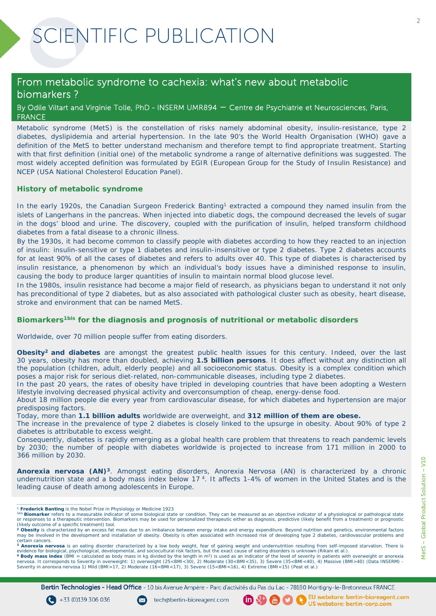### From metabolic syndrome to cachexia: what's new about metabolic biomarkers ?

By Odile Viltart and Virginie Tolle, PhD - INSERM UMR894 – Centre de Psychiatrie et Neurosciences, Paris, FRANCE

Metabolic syndrome (MetS) is the constellation of risks namely abdominal obesity, insulin-resistance, type 2 diabetes, dyslipidemia and arterial hypertension. In the late 90's the World Health Organisation (WHO) gave a definition of the MetS to better understand mechanism and therefore tempt to find appropriate treatment. Starting with that first definition (initial one) of the metabolic syndrome a range of alternative definitions was suggested. The most widely accepted definition was formulated by EGIR (European Group for the Study of Insulin Resistance) and NCEP (USA National Cholesterol Education Panel).

#### **History of metabolic syndrome**

In the early 1920s, the Canadian Surgeon Frederick Banting<sup>1</sup> extracted a compound they named insulin from the islets of Langerhans in the pancreas. When injected into diabetic dogs, the compound decreased the levels of sugar in the dogs' blood and urine. The discovery, coupled with the purification of insulin, helped transform childhood diabetes from a fatal disease to a chronic illness.

By the 1930s, it had become common to classify people with diabetes according to how they reacted to an injection of insulin: insulin-sensitive or type 1 diabetes and insulin-insensitive or type 2 diabetes. Type 2 diabetes accounts for at least 90% of all the cases of diabetes and refers to adults over 40. This type of diabetes is characterised by insulin resistance, a phenomenon by which an individual's body issues have a diminished response to insulin, causing the body to produce larger quantities of insulin to maintain normal blood glucose level.

In the 1980s, insulin resistance had become a major field of research, as physicians began to understand it not only has preconditional of type 2 diabetes, but as also associated with pathological cluster such as obesity, heart disease, stroke and environment that can be named MetS.

#### **Biomarkers1bis for the diagnosis and prognosis of nutritional or metabolic disorders**

Worldwide, over 70 million people suffer from eating disorders.

**Obesity2 and diabetes** are amongst the greatest public health issues for this century. Indeed, over the last 30 years, obesity has more than doubled, achieving **1.5 billion persons**. It does affect without any distinction all the population (children, adult, elderly people) and all socioeconomic status. Obesity is a complex condition which poses a major risk for serious diet-related, non-communicable diseases, including type 2 diabetes.

In the past 20 years, the rates of obesity have tripled in developing countries that have been adopting a Western lifestyle involving decreased physical activity and overconsumption of cheap, energy-dense food.

About 18 million people die every year from cardiovascular disease, for which diabetes and hypertension are major predisposing factors.

Today, more than **1.1 billion adults** worldwide are overweight, and **312 million of them are obese.**

The increase in the prevalence of type 2 diabetes is closely linked to the upsurge in obesity. About 90% of type 2 diabetes is attributable to excess weight.

Consequently, diabetes is rapidly emerging as a global health care problem that threatens to reach pandemic levels by 2030; the number of people with diabetes worldwide is projected to increase from 171 million in 2000 to 366 million by 2030.

**Anorexia nervosa (AN)3***.* Amongst eating disorders, Anorexia Nervosa (AN) is characterized by a chronic undernutrition state and a body mass index below 17 4. It affects 1-4% of women in the United States and is the leading cause of death among adolescents in Europe.

Bertin Technologies - Head Office - 10 bis Avenue Ampère - Parc d'activités du Pas du Lac - 78180 Montigny-le-Bretonneux FRANCE

 $(D \& B)$ 

tech@bertin-bioreagent.com

\_\_\_\_\_\_\_\_\_\_\_\_\_\_\_\_\_\_\_\_\_\_\_\_\_\_\_\_\_\_\_\_\_\_\_\_\_\_\_\_\_\_

MetS - Global Product Solution - V10 MetS – Global Product Solution – V10

EU webstore: bertin-bioreagent.com

EU webstore: bertin-bioreagen<br>US webstore: bertin-corp.com

<sup>1</sup> **Frederick Banting** is the Nobel Prize in Physiology or Medicine 1923

<sup>&</sup>lt;sup>1bis</sup> Biomarker refers to a measurable indicator of some biological state or condition. They can be measured as an objective indicator of a physiological or pathological state<br>or responses to a therapeutic intervention. B

<sup>(</sup>likely outcome of a specific treatment) tool.<br><sup>2</sup> **Obesity** is characterized by an excess fat mass due to an imbalance between energy intake and energy expenditure. Beyond nutrition and genetics, environmental factors may be involved in the development and installation of obesity. Obesity is often associated with increased risk of developing type 2 diabetes, cardiovascular problems and certain cancers.

**<sup>3</sup> Anorexia nervosa** is an eating disorder characterized by a low body weight, fear of gaining weight and undernutrition resulting from self-imposed starvation. There is evidence for biological, psychological, developmental, and sociocultural risk factors, but the exact cause of eating disorders is unknown (*Rikani et al.*).<br>4 **Body mass index** (BMI = calculated as body mass in kg divided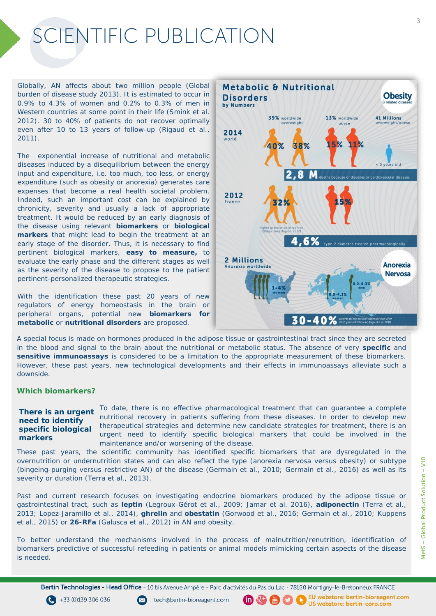Globally, AN affects about two million people (*Global burden of disease study 2013*). It is estimated to occur in 0.9% to 4.3% of women and 0.2% to 0.3% of men in Western countries at some point in their life (*Smink et al. 2012*). 30 to 40% of patients do not recover optimally even after 10 to 13 years of follow-up (*Rigaud et al., 2011).*

The exponential increase of nutritional and metabolic diseases induced by a disequilibrium between the energy input and expenditure, *i.e.* too much, too less, or energy expenditure (such as obesity or anorexia) generates care expenses that become a real health societal problem. Indeed, such an important cost can be explained by chronicity, severity and usually a lack of appropriate treatment. It would be reduced by an early diagnosis of the disease using relevant **biomarkers** or **biological markers** that might lead to begin the treatment at an early stage of the disorder. Thus, it is necessary to find pertinent biological markers, **easy to measure,** to evaluate the early phase and the different stages as well as the severity of the disease to propose to the patient pertinent-personalized therapeutic strategies.

With the identification these past 20 years of new regulators of energy homeostasis in the brain or peripheral organs, potential new **biomarkers for metabolic** or **nutritional disorders** are proposed.



A special focus is made on hormones produced in the adipose tissue or gastrointestinal tract since they are secreted in the blood and signal to the brain about the nutritional or metabolic status. The absence of very **specific** and **sensitive immunoassays** is considered to be a limitation to the appropriate measurement of these biomarkers. However, these past years, new technological developments and their effects in immunoassays alleviate such a downside.

#### **Which biomarkers?**

#### **There is an urgent need to identify specific biological markers**

To date, there is no effective pharmacological treatment that can guarantee a complete nutritional recovery in patients suffering from these diseases. In order to develop new therapeutical strategies and determine new candidate strategies for treatment, there is an urgent need to identify specific biological markers that could be involved in the maintenance and/or worsening of the disease.

(血好偶り)

These past years, the scientific community has identified specific biomarkers that are dysregulated in the overnutrition or undernutrition states and can also reflect the type (anorexia nervosa *versus* obesity) or subtype (bingeing-purging *versus* restrictive AN) of the disease (*Germain et al.*, 2010; *Germain et al.*, 2016) as well as its severity or duration (*Terra et al.*, 2013).

Past and current research focuses on investigating endocrine biomarkers produced by the adipose tissue or gastrointestinal tract, such as **leptin** (*Legroux-Gérot et al.*, 2009; Jamar *et al.* 2016), **adiponectin** (*Terra et al.*, 2013; Lopez-Jaramillo *et al.*, 2014), **ghrelin** and **obestatin** (*Gorwood et al.*, 2016; *Germain et al.*, 2010; *Kuppens et al.*, 2015) or **26-RFa** (*Galusca et al.*, 2012) in AN and obesity.

To better understand the mechanisms involved in the process of malnutrition/renutrition, identification of biomarkers predictive of successful refeeding in patients or animal models mimicking certain aspects of the disease is needed.

3

Bertin Technologies - Head Office - 10 bis Avenue Ampère - Parc d'activités du Pas du Lac - 78180 Montigny-le-Bretonneux FRANCE

 $\bigodot$  +33 (0)139 306 036



EU webstore: bertin-bioreagent.com  $\bullet$ US webstore: bertin-corp.com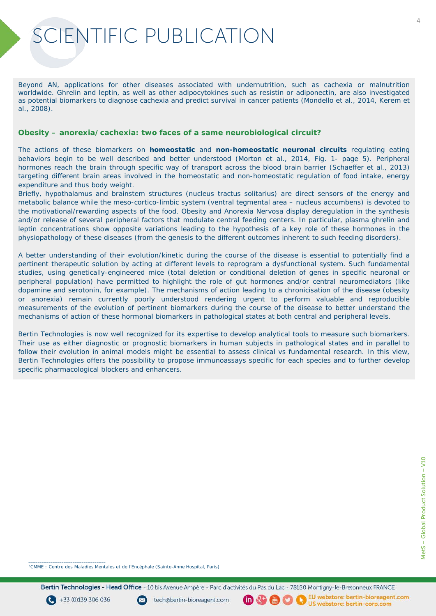Beyond AN, applications for other diseases associated with undernutrition, such as cachexia or malnutrition worldwide. Ghrelin and leptin, as well as other adipocytokines such as resistin or adiponectin, are also investigated as potential biomarkers to diagnose cachexia and predict survival in cancer patients (*Mondello et al.*, 2014, *Kerem et al.*, 2008).

#### **Obesity – anorexia/cachexia: two faces of a same neurobiological circuit?**

The actions of these biomarkers on *homeostatic* and *non-homeostatic neuronal circuits* regulating eating behaviors begin to be well described and better understood (*Morton et al., 2014*, Fig. 1- page 5). Peripheral hormones reach the brain through specific way of transport across the blood brain barrier (*Schaeffer et al., 2013*) targeting different brain areas involved in the homeostatic and non-homeostatic regulation of food intake, energy expenditure and thus body weight.

Briefly, hypothalamus and brainstem structures (*nucleus tractus solitarius*) are direct sensors of the energy and metabolic balance while the meso-cortico-limbic system (ventral tegmental area – *nucleus accumbens*) is devoted to the motivational/rewarding aspects of the food. Obesity and Anorexia Nervosa display deregulation in the synthesis and/or release of several peripheral factors that modulate central feeding centers. In particular, plasma ghrelin and leptin concentrations show opposite variations leading to the hypothesis of a key role of these hormones in the physiopathology of these diseases (from the genesis to the different outcomes inherent to such feeding disorders).

A better understanding of their evolution/kinetic during the course of the disease is essential to potentially find a pertinent therapeutic solution by acting at different levels to reprogram a dysfunctional system. Such fundamental studies, using genetically-engineered mice (total deletion or conditional deletion of genes in specific neuronal or peripheral population) have permitted to highlight the role of gut hormones and/or central neuromediators (like dopamine and serotonin, for example). The mechanisms of action leading to a chronicisation of the disease (obesity or anorexia) remain currently poorly understood rendering urgent to perform valuable and reproducible measurements of the evolution of pertinent biomarkers during the course of the disease to better understand the mechanisms of action of these hormonal biomarkers in pathological states at both central and peripheral levels.

Bertin Technologies is now well recognized for its expertise to develop analytical tools to measure such biomarkers. Their use as either diagnostic or prognostic biomarkers in human subjects in pathological states and in parallel to follow their evolution in animal models might be essential to assess clinical vs fundamental research. In this view, Bertin Technologies offers the possibility to propose immunoassays specific for each species and to further develop specific pharmacological blockers and enhancers.

4

5CMME : Centre des Maladies Mentales et de l'Encéphale (Sainte-Anne Hospital, Paris)

Bertin Technologies - Head Office - 10 bis Avenue Ampère - Parc d'activités du Pas du Lac - 78180 Montigny-le-Bretonneux FRANCE

 $\bigodot$  +33 (0)139 306 036

 $\overline{\phantom{a}}$  , and the contribution of the contribution of the contribution of the contribution of the contribution of the contribution of the contribution of the contribution of the contribution of the contribution of the



血分骨口

EU webstore: bertin-bioreagent.com US webstore: bertin-corp.com

O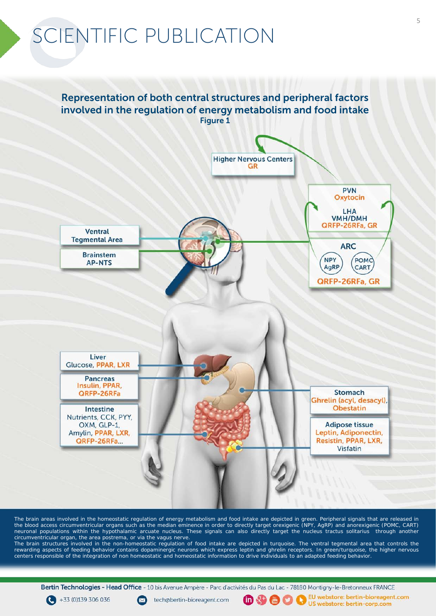### Representation of both central structures and peripheral factors involved in the regulation of energy metabolism and food intake Figure 1



The brain areas involved in the homeostatic regulation of energy metabolism and food intake are depicted in green. Peripheral signals that are released in the blood access circumventricular organs such as the median eminence in order to directly target orexigenic (NPY, AgRP) and anorexigenic (POMC, CART) neuronal populations within the hypothalamic arcuate nucleus. These signals can also directly target the *nucleus tractus solitarius* through another circumventricular organ, the *area postrema*, or *via* the vagus nerve.

The brain structures involved in the non-homeostatic regulation of food intake are depicted in turquoise. The ventral tegmental area that controls the rewarding aspects of feeding behavior contains dopaminergic neurons which express leptin and ghrelin receptors. In green/turquoise, the higher nervous centers responsible of the integration of non homeostatic and homeostatic information to drive individuals to an adapted feeding behavior

Bertin Technologies - Head Office - 10 bis Avenue Ampère - Parc d'activités du Pas du Lac - 78180 Montigny-le-Bretonneux FRANCE

 $\bigodot$  +33 (0)139 306 036



EU webstore: bertin-bioreagent.com  $\oplus$   $\oplus$   $\oplus$   $\oplus$ US webstore: bertin-corp.com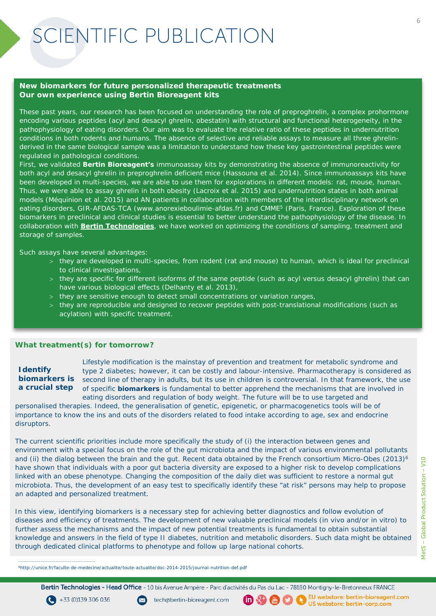#### **New biomarkers for future personalized therapeutic treatments Our own experience using Bertin Bioreagent kits**

These past years, our research has been focused on understanding the role of preproghrelin, a complex prohormone encoding various peptides (acyl and desacyl ghrelin, obestatin) with structural and functional heterogeneity, in the pathophysiology of eating disorders. Our aim was to evaluate the relative ratio of these peptides in undernutrition conditions in both rodents and humans. The absence of selective and reliable assays to measure all three ghrelinderived in the same biological sample was a limitation to understand how these key gastrointestinal peptides were regulated in pathological conditions.

First, we validated **Bertin Bioreagent's** immunoassay kits by demonstrating the absence of immunoreactivity for both acyl and desacyl ghrelin in preproghrelin deficient mice (*Hassouna et al. 2014*). Since immunoassays kits have been developed in multi-species, we are able to use them for explorations in different models: rat, mouse, human. Thus, we were able to assay ghrelin in both obesity (*Lacroix et al. 2015*) and undernutrition states in both animal models (*Méquinion et al. 2015*) and AN patients in collaboration with members of the interdisciplinary network on eating disorders, GIR-AFDAS-TCA (*www.anorexieboulimie-afdas.fr*) and CMME5 (Paris, France). Exploration of these biomarkers in preclinical and clinical studies is essential to better understand the pathophysiology of the disease. In collaboration with **Bertin Technologies**, we have worked on optimizing the conditions of sampling, treatment and storage of samples.

Such assays have several advantages:

- > they are developed in multi-species, from rodent (rat and mouse) to human, which is ideal for preclinical to clinical investigations,
- > they are specific for different isoforms of the same peptide (such as acyl *versus* desacyl ghrelin) that can have various biological effects (*Delhanty et al. 2013*),
- > they are sensitive enough to detect small concentrations or variation ranges,
- > they are reproducible and designed to recover peptides with post-translational modifications (such as acylation) with specific treatment.

#### **What treatment(s) for tomorrow?**

### **Identify a crucial step**

Lifestyle modification is the mainstay of prevention and treatment for metabolic syndrome and type 2 diabetes; however, it can be costly and labour-intensive. Pharmacotherapy is considered as biomarkers is second line of therapy in adults, but its use in children is controversial. In that framework, the use of specific **biomarkers** is fundamental to better apprehend the mechanisms that are involved in eating disorders and regulation of body weight. The future will be to use targeted and

personalised therapies. Indeed, the generalisation of genetic, epigenetic, or pharmacogenetics tools will be of importance to know the ins and outs of the disorders related to food intake according to age, sex and endocrine disruptors.

The current scientific priorities include more specifically the study of (i) the interaction between genes and environment with a special focus on the role of the gut microbiota and the impact of various environmental pollutants and (ii) the dialog between the brain and the gut. Recent data obtained by the French consortium Micro-Obes (2013)<sup>6</sup> have shown that individuals with a poor gut bacteria diversity are exposed to a higher risk to develop complications linked with an obese phenotype. Changing the composition of the daily diet was sufficient to restore a normal gut microbiota. Thus, the development of an easy test to specifically identify these "at risk" persons may help to propose an adapted and personalized treatment.

In this view, identifying biomarkers is a necessary step for achieving better diagnostics and follow evolution of diseases and efficiency of treatments. The development of new valuable preclinical models (*in vivo* and/or *in vitro*) to further assess the mechanisms and the impact of new potential treatments is fundamental to obtain substantial knowledge and answers in the field of type II diabetes, nutrition and metabolic disorders. Such data might be obtained through dedicated clinical platforms to phenotype and follow up large national cohorts.

6http://unice.fr/faculte-de-medecine/actualite/toute-actualite/doc-2014-2015/journal-nutrition-def.pdf

Bertin Technologies - Head Office - 10 bis Avenue Ampère - Parc d'activités du Pas du Lac - 78180 Montigny-le-Bretonneux FRANCE

 $\bigodot$  +33 (0)139 306 036

 $\mathcal{L}_\mathcal{L} = \{ \mathcal{L}_\mathcal{L} = \{ \mathcal{L}_\mathcal{L} = \{ \mathcal{L}_\mathcal{L} = \{ \mathcal{L}_\mathcal{L} = \{ \mathcal{L}_\mathcal{L} = \{ \mathcal{L}_\mathcal{L} = \{ \mathcal{L}_\mathcal{L} = \{ \mathcal{L}_\mathcal{L} = \{ \mathcal{L}_\mathcal{L} = \{ \mathcal{L}_\mathcal{L} = \{ \mathcal{L}_\mathcal{L} = \{ \mathcal{L}_\mathcal{L} = \{ \mathcal{L}_\mathcal{L} = \{ \mathcal{L}_\mathcal{$ 

**O 9 0 0 US** webstore: bertin-bioreagent.com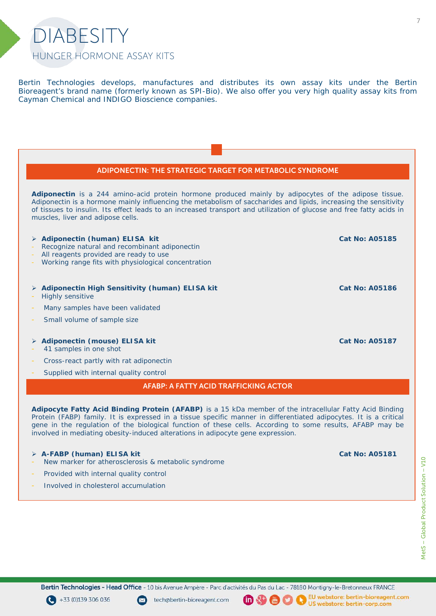

Bertin Technologies develops, manufactures and distributes its own assay kits under the Bertin Bioreagent's brand name (formerly known as SPI-Bio). We also offer you very high quality assay kits from Cayman Chemical and INDIGO Bioscience companies.

### ADIPONECTIN: THE STRATEGIC TARGET FOR METABOLIC SYNDROME *Adiponectin is a 244 amino-acid protein hormone produced mainly by adipocytes of the adipose tissue. Adiponectin is a hormone mainly influencing the metabolism of saccharides and lipids, increasing the sensitivity* of tissues to insulin. Its effect leads to an increased transport and utilization of glucose and free fatty acids in *muscles, liver and adipose cells.* **Adiponectin (human) ELISA kit**  Recognize natural and recombinant adiponectin All reagents provided are ready to use Working range fits with physiological concentration **Cat No: A05185 Adiponectin High Sensitivity (human) ELISA kit**  Highly sensitive Many samples have been validated Small volume of sample size **Cat No: A05186 Adiponectin (mouse) ELISA kit**  41 samples in one shot Cross-react partly with rat adiponectin Supplied with internal quality control **Cat No: A05187** AFABP: A FATTY ACID TRAFFICKING ACTOR *Adipocyte Fatty Acid Binding Protein (AFABP) is a 15 kDa member of the intracellular Fatty Acid Binding* Protein (FABP) family. It is expressed in a tissue specific manner in differentiated adipocytes. It is a critical gene in the regulation of the biological function of these cells. According to some results, AFABP may be *involved in mediating obesity-induced alterations in adipocyte gene expression.*

#### **A-FABP (human) ELISA kit**

- New marker for atherosclerosis & metabolic syndrome
- Provided with internal quality control
- Involved in cholesterol accumulation

**Cat No: A05181**





 $(in \& t)$ 

 $\binom{mn}{n}$ 

EU webstore: bertin-bioreagent.com I.) US webstore: bertin-corp.com

7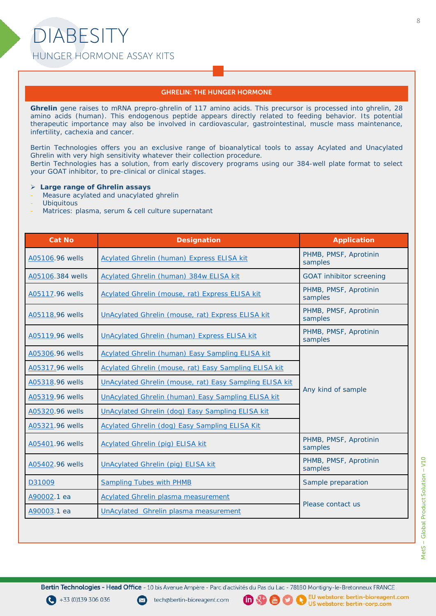#### GHRELIN: THE HUNGER HORMONE

Ghrelin gene raises to mRNA prepro-ghrelin of 117 amino acids. This precursor is processed into ghrelin, 28 *amino acids (human). This endogenous peptide appears directly related to feeding behavior. Its potential therapeutic importance may also be involved in cardiovascular, gastrointestinal, muscle mass maintenance, infertility, cachexia and cancer.*

*Bertin Technologies offers you an exclusive range of bioanalytical tools to assay Acylated and Unacylated Ghrelin with very high sensitivity whatever their collection procedure. Bertin Technologies has a solution, from early discovery programs using our 384-well plate format to select your GOAT inhibitor, to pre-clinical or clinical stages.*

#### **Large range of Ghrelin assays**

- *Measure acylated and unacylated ghrelin*
- *Ubiquitous*
- *Matrices: plasma, serum & cell culture supernatant*

| <b>Cat No</b>    | <b>Designation</b>                                      | <b>Application</b>               |  |
|------------------|---------------------------------------------------------|----------------------------------|--|
| A05106.96 wells  | <b>Acylated Ghrelin (human) Express ELISA kit</b>       | PHMB, PMSF, Aprotinin<br>samples |  |
| A05106.384 wells | Acylated Ghrelin (human) 384w ELISA kit                 | <b>GOAT inhibitor screening</b>  |  |
| A05117.96 wells  | Acylated Ghrelin (mouse, rat) Express ELISA kit         | PHMB, PMSF, Aprotinin<br>samples |  |
| A05118.96 wells  | UnAcylated Ghrelin (mouse, rat) Express ELISA kit       | PHMB, PMSF, Aprotinin<br>samples |  |
| A05119.96 wells  | <b>UnAcylated Ghrelin (human) Express ELISA kit</b>     | PHMB, PMSF, Aprotinin<br>samples |  |
| A05306.96 wells  | <b>Acylated Ghrelin (human) Easy Sampling ELISA kit</b> | Any kind of sample               |  |
| A05317.96 wells  | Acylated Ghrelin (mouse, rat) Easy Sampling ELISA kit   |                                  |  |
| A05318.96 wells  | UnAcylated Ghrelin (mouse, rat) Easy Sampling ELISA kit |                                  |  |
| A05319.96 wells  | UnAcylated Ghrelin (human) Easy Sampling ELISA kit      |                                  |  |
| A05320.96 wells  | UnAcylated Ghrelin (dog) Easy Sampling ELISA kit        |                                  |  |
| A05321.96 wells  | Acylated Ghrelin (dog) Easy Sampling ELISA Kit          |                                  |  |
| A05401.96 wells  | <b>Acylated Ghrelin (pig) ELISA kit</b>                 | PHMB, PMSF, Aprotinin<br>samples |  |
| A05402.96 wells  | <b>UnAcylated Ghrelin (pig) ELISA kit</b>               | PHMB, PMSF, Aprotinin<br>samples |  |
| D31009           | <b>Sampling Tubes with PHMB</b>                         | Sample preparation               |  |
| A90002.1 ea      | <b>Acylated Ghrelin plasma measurement</b>              | Please contact us                |  |
| A90003.1 ea      | <b>UnAcylated Ghrelin plasma measurement</b>            |                                  |  |

Bertin Technologies - Head Office - 10 bis Avenue Ampère - Parc d'activités du Pas du Lac - 78180 Montigny-le-Bretonneux FRANCE

 $\bigodot$  +33 (0)139 306 036

tech@bertin-bioreagent.com

 $\sim$ 

(而好偶り)

O

EU webstore: bertin-bioreagent.com US webstore: bertin-corp.com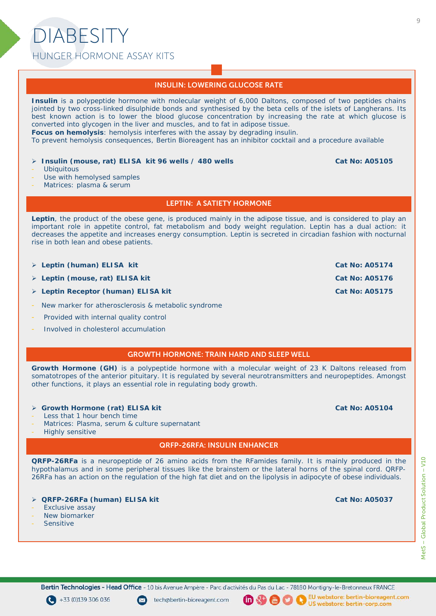## DIABESITY HUNGER HORMONE ASSAY KITS

#### INSULIN: LOWERING GLUCOSE RATE

*Insulin is a polypeptide hormone with molecular weight of 6,000 Daltons, composed of two peptides chains* jointed by two cross-linked disulphide bonds and synthesised by the beta cells of the islets of Langherans. Its best known action is to lower the blood glucose concentration by increasing the rate at which glucose is *converted into glycogen in the liver and muscles, and to fat in adipose tissue. Focus on hemolysis: hemolysis interferes with the assay by degrading insulin. To prevent hemolysis consequences, Bertin Bioreagent has an inhibitor cocktail and a procedure available* **Insulin (mouse, rat) ELISA kit 96 wells / 480 wells Ubiquitous** Use with hemolysed samples Matrices: plasma & serum **Cat No: A05105**

LEPTIN: A SATIETY HORMONE

Leptin, the product of the obese gene, is produced mainly in the adipose tissue, and is considered to play an important role in appetite control, fat metabolism and body weight regulation. Leptin has a dual action: it *decreases the appetite and increases energy consumption. Leptin is secreted in circadian fashion with nocturnal rise in both lean and obese patients.*

- **Leptin (human) ELISA kit** Cat No: A05174
- **Leptin (mouse, rat) ELISA kit Cat No: A05176** Cat No: A05176
- **Leptin Receptor (human) ELISA kit Cat No: A05175** Cat No: A05175
- New marker for atherosclerosis & metabolic syndrome
- Provided with internal quality control
- Involved in cholesterol accumulation
	- GROWTH HORMONE: TRAIN HARD AND SLEEP WELL

*Growth Hormone (GH) is a polypeptide hormone with a molecular weight of 23 K Daltons released from somatotropes of the anterior pituitary. It is regulated by several neurotransmitters and neuropeptides. Amongst other functions, it plays an essential role in regulating body growth.*

#### **Growth Hormone (rat) ELISA kit**

- Less that 1 hour bench time
- Matrices: Plasma, serum & culture supernatant
- Highly sensitive

#### QRFP-26RFA: INSULIN ENHANCER

**QRFP-26RFa** is a neuropeptide of 26 amino acids from the RFamides family. It is mainly produced in the hypothalamus and in some peripheral tissues like the brainstem or the lateral horns of the spinal cord. QRFP-26RFa has an action on the regulation of the high fat diet and on the lipolysis in adipocyte of obese individuals.

- **QRFP-26RFa (human) ELISA kit**
- Exclusive assay
- New biomarker
- **Sensitive**

**Cat No: A05037**

MetS - Global Product Solution - V10 MetS – Global Product Solution – V10

Bertin Technologies - Head Office - 10 bis Avenue Ampère - Parc d'activités du Pas du Lac - 78180 Montigny-le-Bretonneux FRANCE

 $\bigodot$  +33 (0)139 306 036

tech@bertin-bioreagent.com

 $(n<sup>2+</sup>)$ O (間)

EU webstore: bertin-bioreagent.com US webstore: bertin-corp.com

**Cat No: A05104**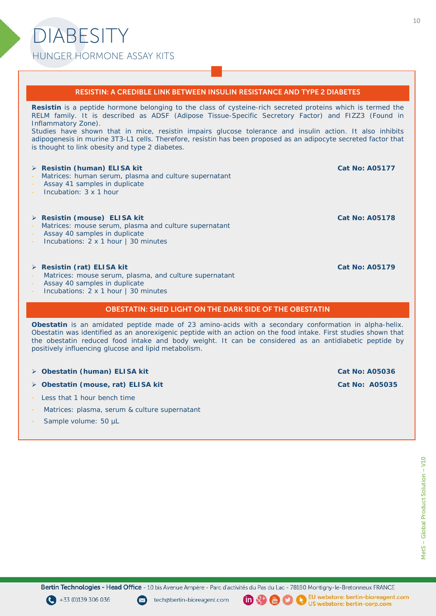## DIABESITY HUNGER HORMONE ASSAY KITS

#### RESISTIN: A CREDIBLE LINK BETWEEN INSULIN RESISTANCE AND TYPE 2 DIABETES

Resistin is a peptide hormone belonging to the class of cysteine-rich secreted proteins which is termed the *RELM family. It is described as ADSF (Adipose Tissue-Specific Secretory Factor) and FIZZ3 (Found in Inflammatory Zone).*

*Studies have shown that in mice, resistin impairs glucose tolerance and insulin action. It also inhibits adipogenesis in murine 3T3-L1 cells. Therefore, resistin has been proposed as an adipocyte secreted factor that is thought to link obesity and type 2 diabetes.*

#### **Resistin (human) ELISA kit**

- Matrices: human serum, plasma and culture supernatant
- Assay 41 samples in duplicate
- Incubation: 3 x 1 hour

#### **Resistin (mouse) ELISA kit**

- Matrices: mouse serum, plasma and culture supernatant
- Assay 40 samples in duplicate
- Incubations: 2 x 1 hour | 30 minutes

#### **Resistin (rat) ELISA kit**

- Matrices: mouse serum, plasma, and culture supernatant
- Assay 40 samples in duplicate
- Incubations: 2 x 1 hour | 30 minutes

#### OBESTATIN: SHED LIGHT ON THE DARK SIDE OF THE OBESTATIN

*Obestatin is an amidated peptide made of 23 amino-acids with a secondary conformation in alpha-helix.* Obestatin was identified as an anorexigenic peptide with an action on the food intake. First studies shown that *the obestatin reduced food intake and body weight. It can be considered as an antidiabetic peptide by positively influencing glucose and lipid metabolism.*

- **Cat No: A05036 Cat No: A05036 Cat No: A05036 Cat No: A05036**
- **Obestatin (mouse, rat) ELISA kit Cat No: A05035** Cat No: A05035
- Less that 1 hour bench time
- Matrices: plasma, serum & culture supernatant
- Sample volume: 50 µL

Bertin Technologies - Head Office - 10 bis Avenue Ampère - Parc d'activités du Pas du Lac - 78180 Montigny-le-Bretonneux FRANCE

 $\bigodot$  +33 (0)139 306 036

tech@bertin-bioreagent.com



(間)

EU webstore: bertin-bioreagent.com R) US webstore: bertin-corp.com

**Cat No: A05178**

**Cat No: A05177**

**Cat No: A05179**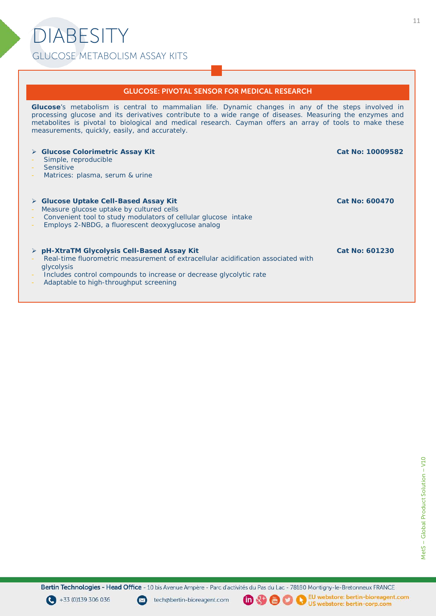# DIABESITY GLUCOSE METABOLISM ASSAY KITS

#### GLUCOSE: PIVOTAL SENSOR FOR MEDICAL RESEARCH

*Glucose's metabolism is central to mammalian life. Dynamic changes in any of the steps involved in processing glucose and its derivatives contribute to a wide range of diseases. Measuring the enzymes and metabolites is pivotal to biological and medical research. Cayman offers an array of tools to make these measurements, quickly, easily, and accurately.*

#### **Glucose Colorimetric Assay Kit**  Simple, reproducible **Sensitive** Matrices: plasma, serum & urine **Cat No: 10009582 Glucose Uptake Cell-Based Assay Kit**  Measure glucose uptake by cultured cells Convenient tool to study modulators of cellular glucose intake Employs 2-NBDG, a fluorescent deoxyglucose analog **Cat No: 600470 pH-XtraTM Glycolysis Cell-Based Assay Kit**  Real-time fluorometric measurement of extracellular acidification associated with glycolysis Includes control compounds to increase or decrease glycolytic rate Adaptable to high-throughput screening **Cat No: 601230**

Bertin Technologies - Head Office - 10 bis Avenue Ampère - Parc d'activités du Pas du Lac - 78180 Montigny-le-Bretonneux FRANCE





 $\binom{mn}{n}$ 

N

EU webstore: bertin-bioreagent.com US webstore: bertin-corp.com

MetS - Global Product Solution - V10 MetS – Global Product Solution – V10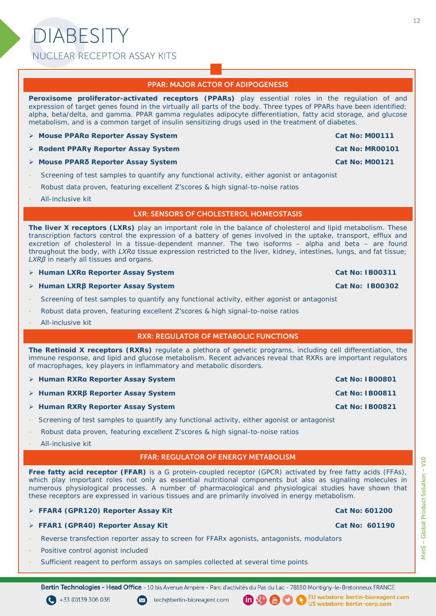### PPAR: MAJOR ACTOR OF ADIPOGENESIS

*Peroxisome proliferator-activated receptors (PPARs) play essential roles in the regulation of and* expression of target genes found in the virtually all parts of the body. Three types of PPARs have been identified: *alpha, beta/delta, and gamma. PPAR gamma regulates adipocyte differentiation, fatty acid storage, and glucose metabolism, and is a common target of insulin sensitizing drugs used in the treatment of diabetes.*

- **Example 2 Mouse PPARa Reporter Assay System <b>Accord 2 Mouse 2 Mouse 2 Mouse 2 Mouse 2 Mouse 2 Mouse 2 Mouse 2 Mouse 2 Mouse 2 Mouse 2 Mouse 2 Mouse 2 Mouse 2 Mouse 2 Mouse 2 Mouse 2 Mouse 2 Mouse 2 Mouse 2 Mouse 2 Mouse 2**
- **Rodent PPARγ Reporter Assay System Cat No: MR00101**
- **A Mouse PPARδ** Reporter Assay System Cat No: M00121
- Screening of test samples to quantify any functional activity, either agonist or antagonist
- Robust data proven, featuring excellent Z'scores & high signal-to-noise ratios
- All-inclusive kit

#### LXR: SENSORS OF CHOLESTEROL HOMEOSTASIS

The liver X receptors (LXRs) play an important role in the balance of cholesterol and lipid metabolism. These transcription factors control the expression of a battery of genes involved in the uptake, transport, efflux and *excretion of cholesterol in a tissue-dependent manner. The two isoforms – alpha and beta – are found* throughout the body, with LXRa tissue expression restricted to the liver, kidney, intestines, lungs, and fat tissue; *LXRβ in nearly all tissues and organs.*

**Example 2 Is a Reporter Assay System** *America Cat No: IB00311* **<b>Cat No: IB00311** 

- **Human LXRβ Reporter Assay System Cat No: IB00302**
- Screening of test samples to quantify any functional activity, either agonist or antagonist
- Robust data proven, featuring excellent Z'scores & high signal-to-noise ratios
- All-inclusive kit

#### RXR: REGULATOR OF METABOLIC FUNCTIONS

*The Retinoid X receptors (RXRs) regulate a plethora of genetic programs, including cell differentiation, the immune response, and lipid and glucose metabolism. Recent advances reveal that RXRs are important regulators of macrophages, key players in inflammatory and metabolic disorders.*

- **A Human RXRα Reporter Assay System <b>A A A A A A A A A A A A A A A A A** A Cat No: IB00801
- **Human RXRβ Reporter Assay System Cat No: IB00811**
- **Human RXRγ Reporter Assay System Cat No: IB00821**
- Screening of test samples to quantify any functional activity, either agonist or antagonist
- Robust data proven, featuring excellent Z'scores & high signal-to-noise ratios
- All-inclusive kit

#### FFAR: REGULATOR OF ENERGY METABOLISM

Free fatty acid receptor (FFAR) is a G protein-coupled receptor (GPCR) activated by free fatty acids (FFAs), *which play important roles not only as essential nutritional components but also as signaling molecules in numerous physiological processes. A number of pharmacological and physiological studies have shown that these receptors are expressed in various tissues and are primarily involved in energy metabolism.*

|  | > FFAR4 (GPR120) Reporter Assay Kit |  |
|--|-------------------------------------|--|
|  |                                     |  |

- **FFAR1 (GPR40) Reporter Assay Kit Cat No: 601190** Cat No: 601190
- Reverse transfection reporter assay to screen for FFARx agonists, antagonists, modulators

tech@bertin-bioreagent.com

- Positive control agonist included
- Sufficient reagent to perform assays on samples collected at several time points

Bertin Technologies - Head Office - 10 bis Avenue Ampère - Parc d'activités du Pas du Lac - 78180 Montigny-le-Bretonneux FRANCE

 $(in)$   $\mathbb{R}^+$ 

(間)

T.

 $\bigodot$  +33 (0)139 306 036

Cat No: 601200

EU webstore: bertin-bioreagent.com

US webstore: bertin-corp.com

MetS - Global Product Solution - V10 MetS – Global Product Solution – V10

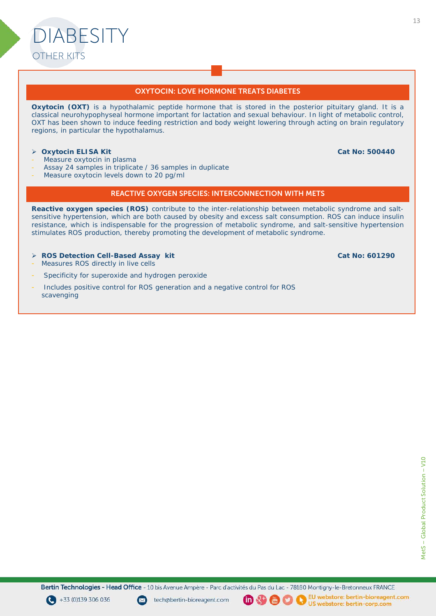

Oxytocin (OXT) is a hypothalamic peptide hormone that is stored in the posterior pituitary gland. It is a *classical neurohypophyseal hormone important for lactation and sexual behaviour. In light of metabolic control,* OXT has been shown to induce feeding restriction and body weight lowering through acting on brain regulatory *regions, in particular the hypothalamus.*

#### **Oxytocin ELISA Kit**

Measure oxytocin in plasma

DIABESITY

OTHER KITS

- Assay 24 samples in triplicate / 36 samples in duplicate
- Measure oxytocin levels down to 20 pg/ml

#### REACTIVE OXYGEN SPECIES: INTERCONNECTION WITH METS

*Reactive oxygen species (ROS) contribute to the inter-relationship between metabolic syndrome and saltsensitive hypertension, which are both caused by obesity and excess salt consumption. ROS can induce insulin resistance, which is indispensable for the progression of metabolic syndrome, and salt-sensitive hypertension stimulates ROS production, thereby promoting the development of metabolic syndrome.*

- **ROS Detection Cell-Based Assay kit**
- Measures ROS directly in live cells
- Specificity for superoxide and hydrogen peroxide
- Includes positive control for ROS generation and a negative control for ROS scavenging
- **Cat No: 601290**

**Cat No: 500440**

Bertin Technologies - Head Office - 10 bis Avenue Ampère - Parc d'activités du Pas du Lac - 78180 Montigny-le-Bretonneux FRANCE







 $\binom{mn}{n}$ 

EU webstore: bertin-bioreagent.com N



US webstore: bertin-corp.com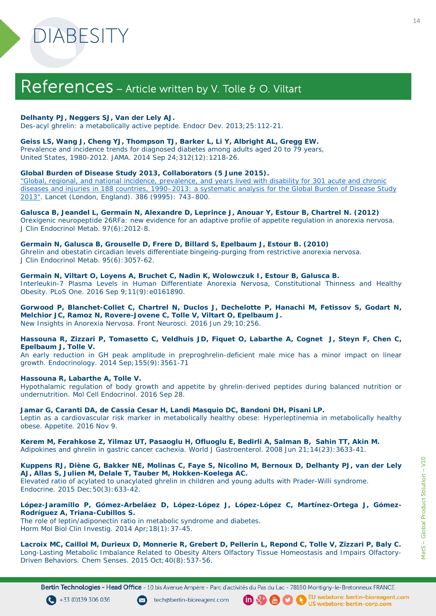## References - Article written by V. Tolle & O. Viltart

#### **Delhanty PJ, Neggers SJ, Van der Lely AJ.**

*Des-acyl ghrelin: a metabolically active peptide*. Endocr Dev. 2013;25:112-21.

#### **Geiss LS, Wang J, Cheng YJ, Thompson TJ, Barker L, Li Y, Albright AL, Gregg EW.**

*Prevalence and incidence trends for diagnosed diabetes among adults aged 20 to 79 years*, United States, 1980-2012. JAMA. 2014 Sep 24;312(12):1218-26.

#### **Global Burden of Disease Study 2013, Collaborators (5 June 2015).**

*"Global, regional, and national incidence, prevalence, and years lived with disability for 301 acute and chronic [diseases and injuries in 188 countries, 1990–2013: a systematic analysis for the Global Burden of Disease Study](https://www.ncbi.nlm.nih.gov/pmc/articles/PMC4561509)  2013".* Lancet (London, England). 386 (9995): 743–800.

#### **Galusca B, Jeandel L, Germain N, Alexandre D, Leprince J, Anouar Y, Estour B, Chartrel N. (2012)** *Orexigenic neuropeptide 26RFa: new evidence for an adaptive profile of appetite regulation in anorexia nervosa.*

J Clin Endocrinol Metab. 97(6):2012-8.

#### **Germain N, Galusca B, Grouselle D, Frere D, Billard S, Epelbaum J, Estour B. (2010)**

*Ghrelin and obestatin circadian levels differentiate bingeing-purging from restrictive anorexia nervosa.* J Clin Endocrinol Metab. 95(6):3057-62.

#### **Germain N, Viltart O, Loyens A, Bruchet C, Nadin K, Wolowczuk I, Estour B, Galusca B.**

*Interleukin-7 Plasma Levels in Human Differentiate Anorexia Nervosa, Constitutional Thinness and Healthy Obesity.* PLoS One. 2016 Sep 9;11(9):e0161890.

**Gorwood P, Blanchet-Collet C, Chartrel N, Duclos J, Dechelotte P, Hanachi M, Fetissov S, Godart N, Melchior JC, Ramoz N, Rovere-Jovene C, Tolle V, Viltart O, Epelbaum J.** *New Insights in Anorexia Nervosa.* Front Neurosci. 2016 Jun 29;10:256.

#### **Hassouna R, Zizzari P, Tomasetto C, Veldhuis JD, Fiquet O, Labarthe A, Cognet J, Steyn F, Chen C, Epelbaum J, Tolle V.**

*An early reduction in GH peak amplitude in preproghrelin-deficient male mice has a minor impact on linear growth.* Endocrinology. 2014 Sep;155(9):3561-71

#### **Hassouna R, Labarthe A, Tolle V.**

*Hypothalamic regulation of body growth and appetite by ghrelin-derived peptides during balanced nutrition or undernutrition.* Mol Cell Endocrinol. 2016 Sep 28.

**Jamar G, Caranti DA, de Cassia Cesar H, Landi Masquio DC, Bandoni DH, Pisani LP.**

*Leptin as a cardiovascular risk marker in metabolically healthy obese: Hyperleptinemia in metabolically healthy obese.* Appetite. 2016 Nov 9.

#### **Kerem M, Ferahkose Z, Yilmaz UT, Pasaoglu H, Ofluoglu E, Bedirli A, Salman B, Sahin TT, Akin M.** *Adipokines and ghrelin in gastric cancer cachexia.* World J Gastroenterol. 2008 Jun 21;14(23):3633-41.

Kuppens RJ, Diène G, Bakker NE, Molinas C, Faye S, Nicolino M, Bernoux D, Delhanty PJ, van der Lely **AJ, Allas S, Julien M, Delale T, Tauber M, Hokken-Koelega AC.**

*Elevated ratio of acylated to unacylated ghrelin in children and young adults with Prader-Willi syndrome.* Endocrine. 2015 Dec;50(3):633-42.

#### **López-Jaramillo P, Gómez-Arbeláez D, López-López J, López-López C, Martínez-Ortega J, Gómez-Rodríguez A, Triana-Cubillos S.**

*The role of leptin/adiponectin ratio in metabolic syndrome and diabetes.* Horm Mol Biol Clin Investig. 2014 Apr; 18(1): 37-45.

#### Lacroix MC, Caillol M, Durieux D, Monnerie R, Grebert D, Pellerin L, Repond C, Tolle V, Zizzari P, Baly C. *Long-Lasting Metabolic Imbalance Related to Obesity Alters Olfactory Tissue Homeostasis and Impairs Olfactory-Driven Behaviors.* Chem Senses. 2015 Oct;40(8):537-56.

Bertin Technologies - Head Office - 10 bis Avenue Ampère - Parc d'activités du Pas du Lac - 78180 Montigny-le-Bretonneux FRANCE





<sup>0</sup> 9 0 0 Us webstore: bertin-bioreagen EU webstore: bertin-bioreagent.com